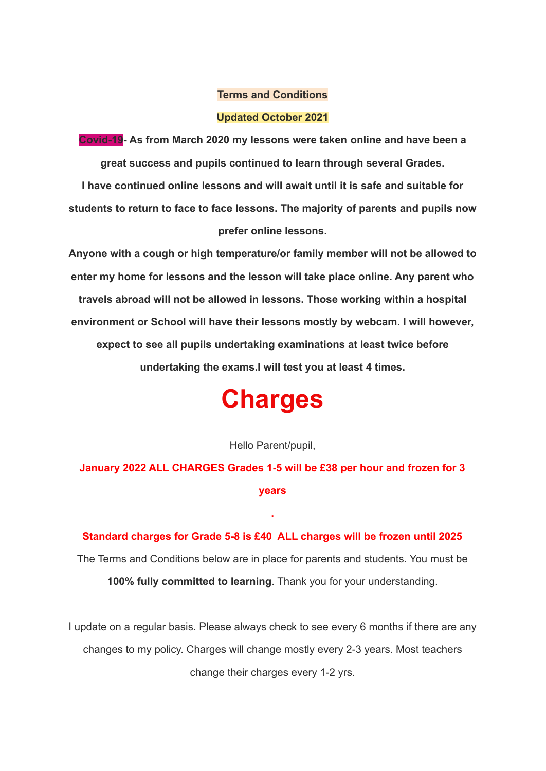#### **Terms and Conditions**

#### **Updated October 2021**

**Covid-19- As from March 2020 my lessons were taken online and have been a great success and pupils continued to learn through several Grades.**

**I have continued online lessons and will await until it is safe and suitable for students to return to face to face lessons. The majority of parents and pupils now prefer online lessons.**

**Anyone with a cough or high temperature/or family member will not be allowed to enter my home for lessons and the lesson will take place online. Any parent who travels abroad will not be allowed in lessons. Those working within a hospital environment or School will have their lessons mostly by webcam. I will however, expect to see all pupils undertaking examinations at least twice before undertaking the exams.I will test you at least 4 times.**

# **Charges**

#### Hello Parent/pupil,

**January 2022 ALL CHARGES Grades 1-5 will be £38 per hour and frozen for 3 years**

**.**

**Standard charges for Grade 5-8 is £40 ALL charges will be frozen until 2025** The Terms and Conditions below are in place for parents and students. You must be **100% fully committed to learning**. Thank you for your understanding.

I update on a regular basis. Please always check to see every 6 months if there are any changes to my policy. Charges will change mostly every 2-3 years. Most teachers change their charges every 1-2 yrs.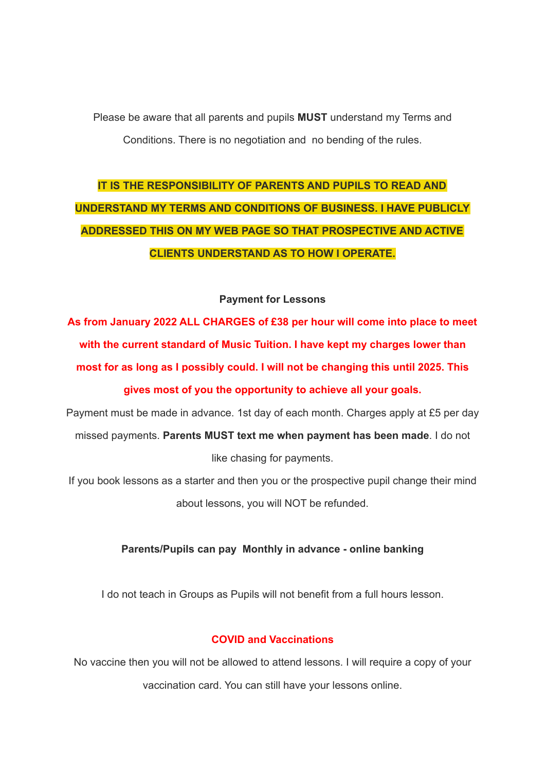Please be aware that all parents and pupils **MUST** understand my Terms and Conditions. There is no negotiation and no bending of the rules.

# **IT IS THE RESPONSIBILITY OF PARENTS AND PUPILS TO READ AND UNDERSTAND MY TERMS AND CONDITIONS OF BUSINESS. I HAVE PUBLICLY ADDRESSED THIS ON MY WEB PAGE SO THAT PROSPECTIVE AND ACTIVE CLIENTS UNDERSTAND AS TO HOW I OPERATE.**

#### **Payment for Lessons**

**As from January 2022 ALL CHARGES of £38 per hour will come into place to meet with the current standard of Music Tuition. I have kept my charges lower than most for as long as I possibly could. I will not be changing this until 2025. This gives most of you the opportunity to achieve all your goals.**

Payment must be made in advance. 1st day of each month. Charges apply at £5 per day missed payments. **Parents MUST text me when payment has been made**. I do not like chasing for payments.

If you book lessons as a starter and then you or the prospective pupil change their mind about lessons, you will NOT be refunded.

### **Parents/Pupils can pay Monthly in advance - online banking**

I do not teach in Groups as Pupils will not benefit from a full hours lesson.

# **COVID and Vaccinations**

No vaccine then you will not be allowed to attend lessons. I will require a copy of your vaccination card. You can still have your lessons online.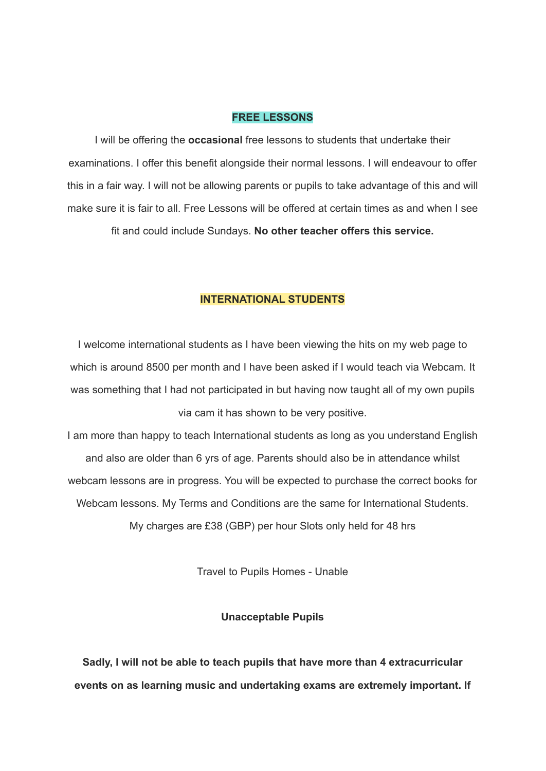## **FREE LESSONS**

I will be offering the **occasional** free lessons to students that undertake their examinations. I offer this benefit alongside their normal lessons. I will endeavour to offer this in a fair way. I will not be allowing parents or pupils to take advantage of this and will make sure it is fair to all. Free Lessons will be offered at certain times as and when Lsee fit and could include Sundays. **No other teacher offers this service.**

#### **INTERNATIONAL STUDENTS**

I welcome international students as I have been viewing the hits on my web page to which is around 8500 per month and I have been asked if I would teach via Webcam. It was something that I had not participated in but having now taught all of my own pupils via cam it has shown to be very positive.

I am more than happy to teach International students as long as you understand English and also are older than 6 yrs of age. Parents should also be in attendance whilst webcam lessons are in progress. You will be expected to purchase the correct books for Webcam lessons. My Terms and Conditions are the same for International Students. My charges are £38 (GBP) per hour Slots only held for 48 hrs

Travel to Pupils Homes - Unable

#### **Unacceptable Pupils**

**Sadly, I will not be able to teach pupils that have more than 4 extracurricular events on as learning music and undertaking exams are extremely important. If**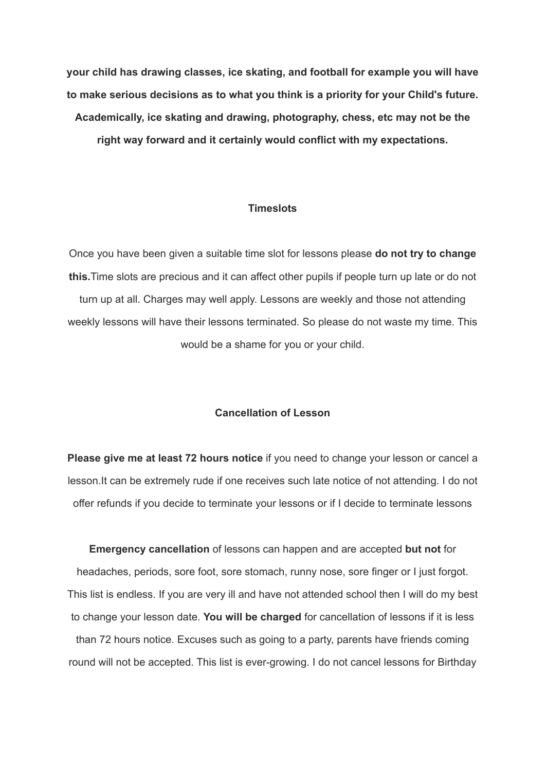**your child has drawing classes, ice skating, and football for example you will have to make serious decisions as to what you think is a priority for your Child's future. Academically, ice skating and drawing, photography, chess, etc may not be the right way forward and it certainly would conflict with my expectations.**

#### **Timeslots**

Once you have been given a suitable time slot for lessons please **do not try to change this.**Time slots are precious and it can affect other pupils if people turn up late or do not turn up at all. Charges may well apply. Lessons are weekly and those not attending weekly lessons will have their lessons terminated. So please do not waste my time. This would be a shame for you or your child.

#### **Cancellation of Lesson**

**Please give me at least 72 hours notice** if you need to change your lesson or cancel a lesson.It can be extremely rude if one receives such late notice of not attending. I do not offer refunds if you decide to terminate your lessons or if I decide to terminate lessons

**Emergency cancellation** of lessons can happen and are accepted **but not** for headaches, periods, sore foot, sore stomach, runny nose, sore finger or I just forgot. This list is endless. If you are very ill and have not attended school then I will do my best to change your lesson date. **You will be charged** for cancellation of lessons if it is less than 72 hours notice. Excuses such as going to a party, parents have friends coming round will not be accepted. This list is ever-growing. I do not cancel lessons for Birthday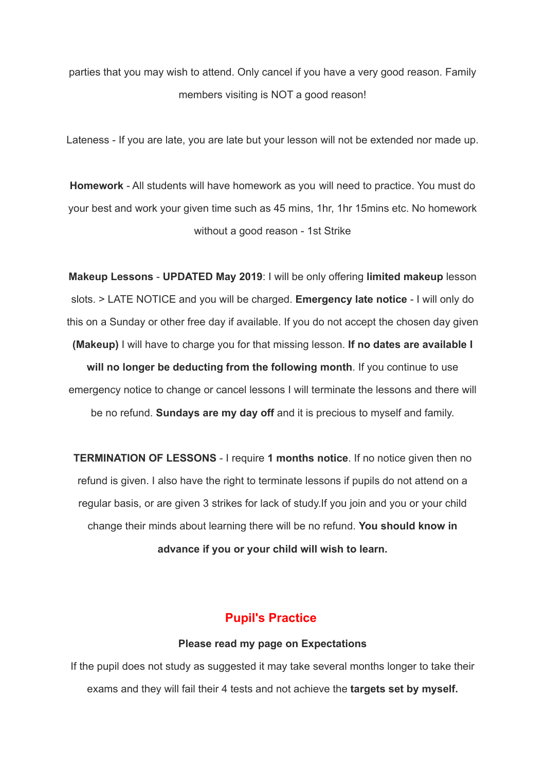parties that you may wish to attend. Only cancel if you have a very good reason. Family members visiting is NOT a good reason!

Lateness - If you are late, you are late but your lesson will not be extended nor made up.

**Homework** - All students will have homework as you will need to practice. You must do your best and work your given time such as 45 mins, 1hr, 1hr 15mins etc. No homework without a good reason - 1st Strike

**Makeup Lessons** - **UPDATED May 2019**: I will be only offering **limited makeup** lesson slots. > LATE NOTICE and you will be charged. **Emergency late notice** - I will only do this on a Sunday or other free day if available. If you do not accept the chosen day given **(Makeup)** I will have to charge you for that missing lesson. **If no dates are available I will no longer be deducting from the following month**. If you continue to use emergency notice to change or cancel lessons I will terminate the lessons and there will be no refund. **Sundays are my day off** and it is precious to myself and family.

**TERMINATION OF LESSONS** - I require **1 months notice**. If no notice given then no refund is given. I also have the right to terminate lessons if pupils do not attend on a regular basis, or are given 3 strikes for lack of study.If you join and you or your child change their minds about learning there will be no refund. **You should know in advance if you or your child will wish to learn.**

# **Pupil's Practice**

#### **Please read my page on Expectations**

If the pupil does not study as suggested it may take several months longer to take their exams and they will fail their 4 tests and not achieve the **targets set by myself.**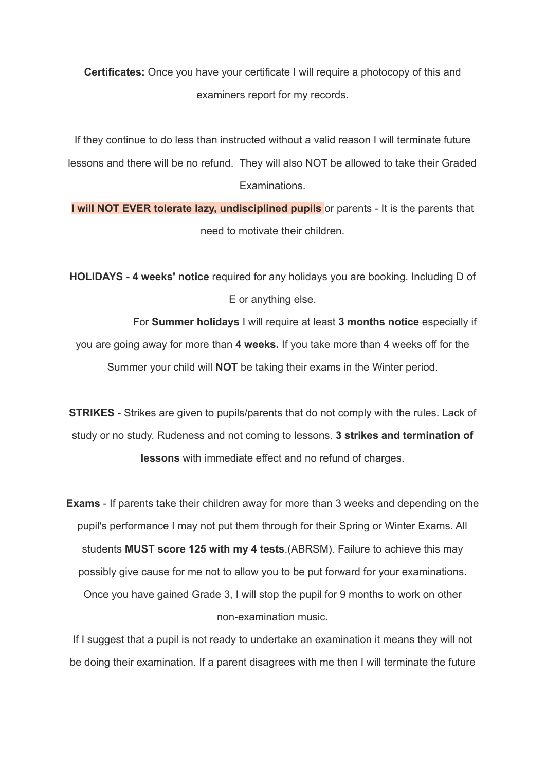**Certificates:** Once you have your certificate I will require a photocopy of this and examiners report for my records.

If they continue to do less than instructed without a valid reason I will terminate future lessons and there will be no refund. They will also NOT be allowed to take their Graded **Examinations** 

**I will NOT EVER tolerate lazy, undisciplined pupils** or parents - It is the parents that need to motivate their children.

**HOLIDAYS - 4 weeks' notice** required for any holidays you are booking. Including D of E or anything else.

For **Summer holidays** I will require at least **3 months notice** especially if you are going away for more than **4 weeks.** If you take more than 4 weeks off for the Summer your child will **NOT** be taking their exams in the Winter period.

**STRIKES** - Strikes are given to pupils/parents that do not comply with the rules. Lack of study or no study. Rudeness and not coming to lessons. **3 strikes and termination of lessons** with immediate effect and no refund of charges.

**Exams** - If parents take their children away for more than 3 weeks and depending on the pupil's performance I may not put them through for their Spring or Winter Exams. All students **MUST score 125 with my 4 tests**.(ABRSM). Failure to achieve this may possibly give cause for me not to allow you to be put forward for your examinations. Once you have gained Grade 3, I will stop the pupil for 9 months to work on other non-examination music.

If I suggest that a pupil is not ready to undertake an examination it means they will not be doing their examination. If a parent disagrees with me then I will terminate the future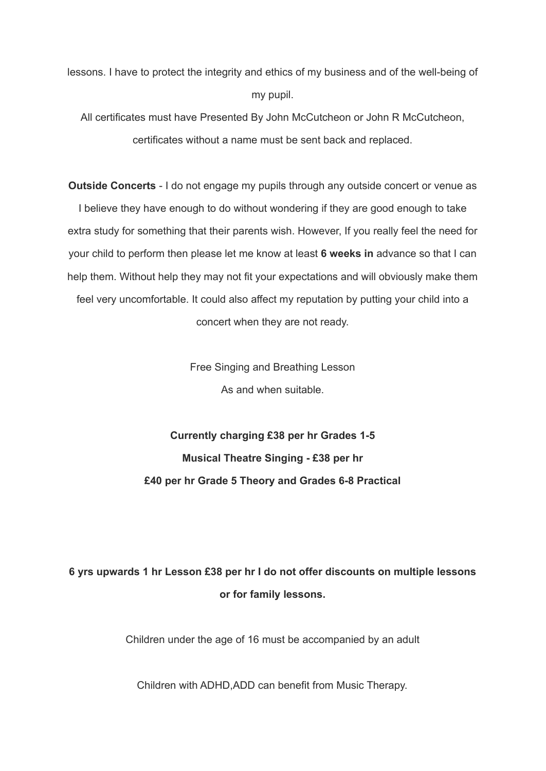lessons. I have to protect the integrity and ethics of my business and of the well-being of my pupil.

All certificates must have Presented By John McCutcheon or John R McCutcheon, certificates without a name must be sent back and replaced.

**Outside Concerts** - I do not engage my pupils through any outside concert or venue as I believe they have enough to do without wondering if they are good enough to take extra study for something that their parents wish. However, If you really feel the need for your child to perform then please let me know at least **6 weeks in** advance so that I can help them. Without help they may not fit your expectations and will obviously make them feel very uncomfortable. It could also affect my reputation by putting your child into a concert when they are not ready.

> Free Singing and Breathing Lesson As and when suitable.

**Currently charging £38 per hr Grades 1-5 Musical Theatre Singing - £38 per hr £40 per hr Grade 5 Theory and Grades 6-8 Practical**

# **6 yrs upwards 1 hr Lesson £38 per hr I do not offer discounts on multiple lessons or for family lessons.**

Children under the age of 16 must be accompanied by an adult

Children with ADHD,ADD can benefit from Music Therapy.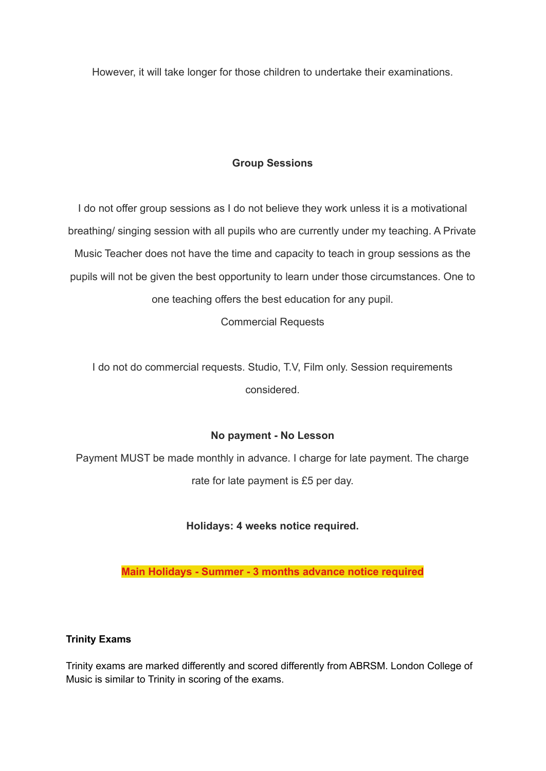However, it will take longer for those children to undertake their examinations.

# **Group Sessions**

I do not offer group sessions as I do not believe they work unless it is a motivational breathing/ singing session with all pupils who are currently under my teaching. A Private Music Teacher does not have the time and capacity to teach in group sessions as the pupils will not be given the best opportunity to learn under those circumstances. One to one teaching offers the best education for any pupil.

Commercial Requests

I do not do commercial requests. Studio, T.V, Film only. Session requirements considered.

# **No payment - No Lesson**

Payment MUST be made monthly in advance. I charge for late payment. The charge rate for late payment is £5 per day.

**Holidays: 4 weeks notice required.**

**Main Holidays - Summer - 3 months advance notice required**

#### **Trinity Exams**

Trinity exams are marked differently and scored differently from ABRSM. London College of Music is similar to Trinity in scoring of the exams.